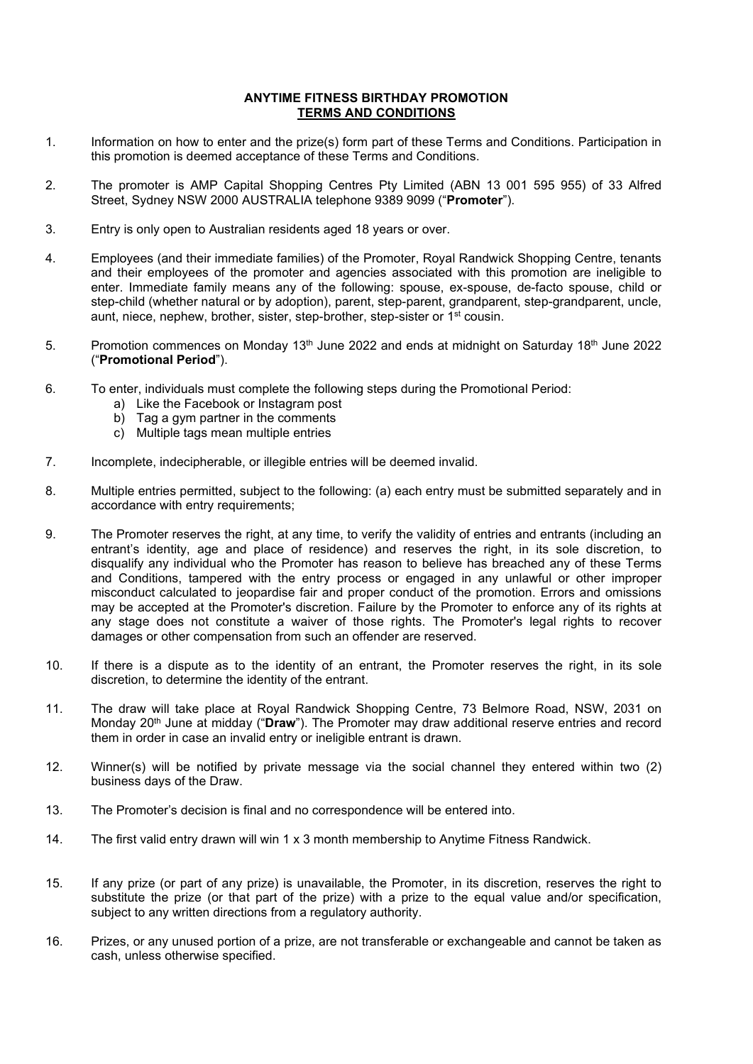## **ANYTIME FITNESS BIRTHDAY PROMOTION TERMS AND CONDITIONS**

- 1. Information on how to enter and the prize(s) form part of these Terms and Conditions. Participation in this promotion is deemed acceptance of these Terms and Conditions.
- 2. The promoter is AMP Capital Shopping Centres Pty Limited (ABN 13 001 595 955) of 33 Alfred Street, Sydney NSW 2000 AUSTRALIA telephone 9389 9099 ("**Promoter**").
- 3. Entry is only open to Australian residents aged 18 years or over.
- 4. Employees (and their immediate families) of the Promoter, Royal Randwick Shopping Centre, tenants and their employees of the promoter and agencies associated with this promotion are ineligible to enter. Immediate family means any of the following: spouse, ex-spouse, de-facto spouse, child or step-child (whether natural or by adoption), parent, step-parent, grandparent, step-grandparent, uncle, aunt, niece, nephew, brother, sister, step-brother, step-sister or 1st cousin.
- 5. Promotion commences on Monday 13<sup>th</sup> June 2022 and ends at midnight on Saturday 18<sup>th</sup> June 2022 ("**Promotional Period**").
- 6. To enter, individuals must complete the following steps during the Promotional Period:
	- a) Like the Facebook or Instagram post
	- b) Tag a gym partner in the comments
	- c) Multiple tags mean multiple entries
- 7. Incomplete, indecipherable, or illegible entries will be deemed invalid.
- 8. Multiple entries permitted, subject to the following: (a) each entry must be submitted separately and in accordance with entry requirements;
- 9. The Promoter reserves the right, at any time, to verify the validity of entries and entrants (including an entrant's identity, age and place of residence) and reserves the right, in its sole discretion, to disqualify any individual who the Promoter has reason to believe has breached any of these Terms and Conditions, tampered with the entry process or engaged in any unlawful or other improper misconduct calculated to jeopardise fair and proper conduct of the promotion. Errors and omissions may be accepted at the Promoter's discretion. Failure by the Promoter to enforce any of its rights at any stage does not constitute a waiver of those rights. The Promoter's legal rights to recover damages or other compensation from such an offender are reserved.
- 10. If there is a dispute as to the identity of an entrant, the Promoter reserves the right, in its sole discretion, to determine the identity of the entrant.
- 11. The draw will take place at Royal Randwick Shopping Centre, 73 Belmore Road, NSW, 2031 on Monday 20th June at midday ("**Draw**"). The Promoter may draw additional reserve entries and record them in order in case an invalid entry or ineligible entrant is drawn.
- 12. Winner(s) will be notified by private message via the social channel they entered within two (2) business days of the Draw.
- 13. The Promoter's decision is final and no correspondence will be entered into.
- 14. The first valid entry drawn will win 1 x 3 month membership to Anytime Fitness Randwick.
- 15. If any prize (or part of any prize) is unavailable, the Promoter, in its discretion, reserves the right to substitute the prize (or that part of the prize) with a prize to the equal value and/or specification, subject to any written directions from a regulatory authority.
- 16. Prizes, or any unused portion of a prize, are not transferable or exchangeable and cannot be taken as cash, unless otherwise specified.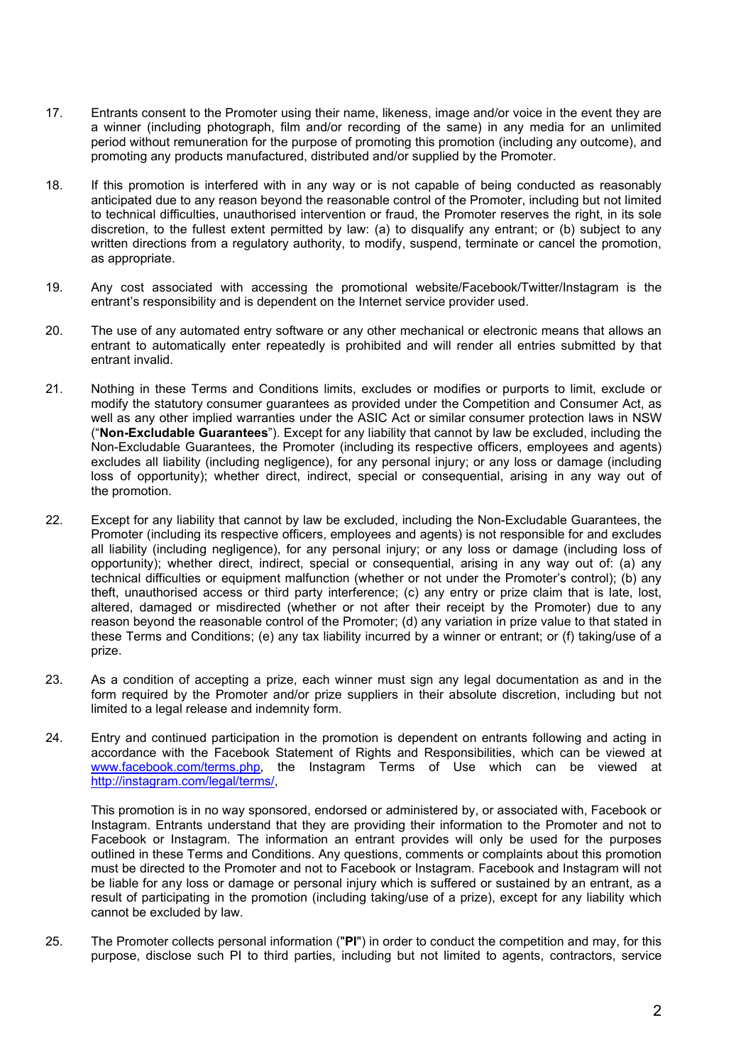- 17. Entrants consent to the Promoter using their name, likeness, image and/or voice in the event they are a winner (including photograph, film and/or recording of the same) in any media for an unlimited period without remuneration for the purpose of promoting this promotion (including any outcome), and promoting any products manufactured, distributed and/or supplied by the Promoter.
- 18. If this promotion is interfered with in any way or is not capable of being conducted as reasonably anticipated due to any reason beyond the reasonable control of the Promoter, including but not limited to technical difficulties, unauthorised intervention or fraud, the Promoter reserves the right, in its sole discretion, to the fullest extent permitted by law: (a) to disqualify any entrant; or (b) subject to any written directions from a regulatory authority, to modify, suspend, terminate or cancel the promotion, as appropriate.
- 19. Any cost associated with accessing the promotional website/Facebook/Twitter/Instagram is the entrant's responsibility and is dependent on the Internet service provider used.
- 20. The use of any automated entry software or any other mechanical or electronic means that allows an entrant to automatically enter repeatedly is prohibited and will render all entries submitted by that entrant invalid.
- 21. Nothing in these Terms and Conditions limits, excludes or modifies or purports to limit, exclude or modify the statutory consumer guarantees as provided under the Competition and Consumer Act, as well as any other implied warranties under the ASIC Act or similar consumer protection laws in NSW ("**Non-Excludable Guarantees**"). Except for any liability that cannot by law be excluded, including the Non-Excludable Guarantees, the Promoter (including its respective officers, employees and agents) excludes all liability (including negligence), for any personal injury; or any loss or damage (including loss of opportunity); whether direct, indirect, special or consequential, arising in any way out of the promotion.
- 22. Except for any liability that cannot by law be excluded, including the Non-Excludable Guarantees, the Promoter (including its respective officers, employees and agents) is not responsible for and excludes all liability (including negligence), for any personal injury; or any loss or damage (including loss of opportunity); whether direct, indirect, special or consequential, arising in any way out of: (a) any technical difficulties or equipment malfunction (whether or not under the Promoter's control); (b) any theft, unauthorised access or third party interference; (c) any entry or prize claim that is late, lost, altered, damaged or misdirected (whether or not after their receipt by the Promoter) due to any reason beyond the reasonable control of the Promoter; (d) any variation in prize value to that stated in these Terms and Conditions; (e) any tax liability incurred by a winner or entrant; or (f) taking/use of a prize.
- 23. As a condition of accepting a prize, each winner must sign any legal documentation as and in the form required by the Promoter and/or prize suppliers in their absolute discretion, including but not limited to a legal release and indemnity form.
- 24. Entry and continued participation in the promotion is dependent on entrants following and acting in accordance with the Facebook Statement of Rights and Responsibilities, which can be viewed at [www.facebook.com/terms.php,](http://www.facebook.com/terms.php) the Instagram Terms of Use which can be viewed at [http://instagram.com/legal/terms/,](http://instagram.com/legal/terms/)

This promotion is in no way sponsored, endorsed or administered by, or associated with, Facebook or Instagram. Entrants understand that they are providing their information to the Promoter and not to Facebook or Instagram. The information an entrant provides will only be used for the purposes outlined in these Terms and Conditions. Any questions, comments or complaints about this promotion must be directed to the Promoter and not to Facebook or Instagram. Facebook and Instagram will not be liable for any loss or damage or personal injury which is suffered or sustained by an entrant, as a result of participating in the promotion (including taking/use of a prize), except for any liability which cannot be excluded by law.

25. The Promoter collects personal information ("**PI**") in order to conduct the competition and may, for this purpose, disclose such PI to third parties, including but not limited to agents, contractors, service